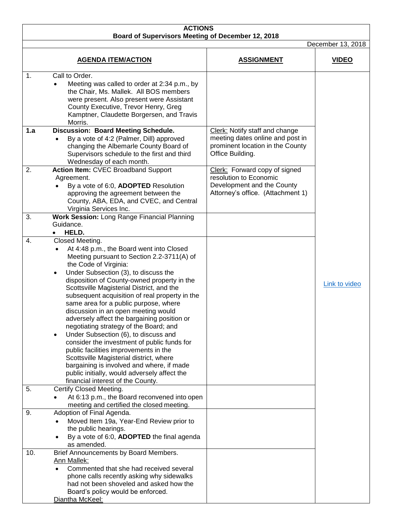| <b>ACTIONS</b><br>Board of Supervisors Meeting of December 12, 2018<br>December 13, 2018 |                                                                                                                                                                                                                                                                                                                                                                                                                                                                                                                                                                                                                                                                                                                                                                                                                                               |                                                                                                                            |               |  |  |
|------------------------------------------------------------------------------------------|-----------------------------------------------------------------------------------------------------------------------------------------------------------------------------------------------------------------------------------------------------------------------------------------------------------------------------------------------------------------------------------------------------------------------------------------------------------------------------------------------------------------------------------------------------------------------------------------------------------------------------------------------------------------------------------------------------------------------------------------------------------------------------------------------------------------------------------------------|----------------------------------------------------------------------------------------------------------------------------|---------------|--|--|
|                                                                                          |                                                                                                                                                                                                                                                                                                                                                                                                                                                                                                                                                                                                                                                                                                                                                                                                                                               |                                                                                                                            |               |  |  |
| 1.<br>1.a                                                                                | Call to Order.<br>Meeting was called to order at 2:34 p.m., by<br>the Chair, Ms. Mallek. All BOS members<br>were present. Also present were Assistant<br>County Executive, Trevor Henry, Greg<br>Kamptner, Claudette Borgersen, and Travis<br>Morris.<br>Discussion: Board Meeting Schedule.<br>By a vote of 4:2 (Palmer, Dill) approved<br>changing the Albemarle County Board of<br>Supervisors schedule to the first and third                                                                                                                                                                                                                                                                                                                                                                                                             | Clerk: Notify staff and change<br>meeting dates online and post in<br>prominent location in the County<br>Office Building. |               |  |  |
| 2.                                                                                       | Wednesday of each month.<br><b>Action Item: CVEC Broadband Support</b><br>Agreement.<br>By a vote of 6:0, ADOPTED Resolution<br>approving the agreement between the<br>County, ABA, EDA, and CVEC, and Central<br>Virginia Services Inc.                                                                                                                                                                                                                                                                                                                                                                                                                                                                                                                                                                                                      | Clerk: Forward copy of signed<br>resolution to Economic<br>Development and the County<br>Attorney's office. (Attachment 1) |               |  |  |
| 3.                                                                                       | Work Session: Long Range Financial Planning<br>Guidance.<br>HELD.<br>$\bullet$                                                                                                                                                                                                                                                                                                                                                                                                                                                                                                                                                                                                                                                                                                                                                                |                                                                                                                            |               |  |  |
| 4.                                                                                       | Closed Meeting.<br>At 4:48 p.m., the Board went into Closed<br>$\bullet$<br>Meeting pursuant to Section 2.2-3711(A) of<br>the Code of Virginia:<br>Under Subsection (3), to discuss the<br>$\bullet$<br>disposition of County-owned property in the<br>Scottsville Magisterial District, and the<br>subsequent acquisition of real property in the<br>same area for a public purpose, where<br>discussion in an open meeting would<br>adversely affect the bargaining position or<br>negotiating strategy of the Board; and<br>Under Subsection (6), to discuss and<br>٠<br>consider the investment of public funds for<br>public facilities improvements in the<br>Scottsville Magisterial district, where<br>bargaining is involved and where, if made<br>public initially, would adversely affect the<br>financial interest of the County. |                                                                                                                            | Link to video |  |  |
| 5.                                                                                       | Certify Closed Meeting.<br>At 6:13 p.m., the Board reconvened into open<br>meeting and certified the closed meeting.                                                                                                                                                                                                                                                                                                                                                                                                                                                                                                                                                                                                                                                                                                                          |                                                                                                                            |               |  |  |
| 9.                                                                                       | Adoption of Final Agenda.<br>Moved Item 19a, Year-End Review prior to<br>the public hearings.<br>By a vote of 6:0, ADOPTED the final agenda<br>as amended.                                                                                                                                                                                                                                                                                                                                                                                                                                                                                                                                                                                                                                                                                    |                                                                                                                            |               |  |  |
| 10.                                                                                      | Brief Announcements by Board Members.<br><b>Ann Mallek:</b><br>Commented that she had received several<br>$\bullet$<br>phone calls recently asking why sidewalks<br>had not been shoveled and asked how the<br>Board's policy would be enforced.<br>Diantha McKeel:                                                                                                                                                                                                                                                                                                                                                                                                                                                                                                                                                                           |                                                                                                                            |               |  |  |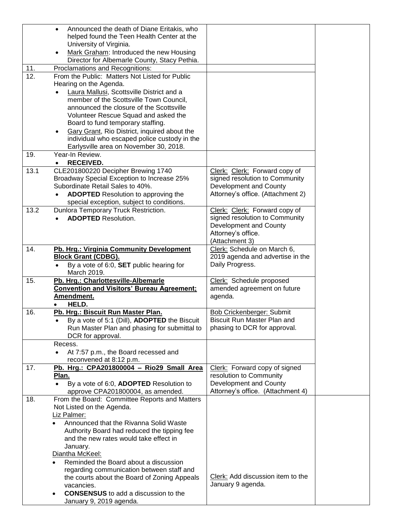|      | Announced the death of Diane Eritakis, who<br>$\bullet$   |                                   |
|------|-----------------------------------------------------------|-----------------------------------|
|      | helped found the Teen Health Center at the                |                                   |
|      | University of Virginia.                                   |                                   |
|      | Mark Graham: Introduced the new Housing                   |                                   |
|      | Director for Albemarle County, Stacy Pethia.              |                                   |
| 11.  | Proclamations and Recognitions:                           |                                   |
| 12.  | From the Public: Matters Not Listed for Public            |                                   |
|      |                                                           |                                   |
|      | Hearing on the Agenda.                                    |                                   |
|      | Laura Mallusi, Scottsville District and a                 |                                   |
|      | member of the Scottsville Town Council,                   |                                   |
|      | announced the closure of the Scottsville                  |                                   |
|      | Volunteer Rescue Squad and asked the                      |                                   |
|      | Board to fund temporary staffing.                         |                                   |
|      | Gary Grant, Rio District, inquired about the<br>$\bullet$ |                                   |
|      | individual who escaped police custody in the              |                                   |
|      | Earlysville area on November 30, 2018.                    |                                   |
| 19.  | Year-In Review.                                           |                                   |
|      | <b>RECEIVED.</b><br>$\bullet$                             |                                   |
| 13.1 | CLE201800220 Decipher Brewing 1740                        | Clerk: Clerk: Forward copy of     |
|      | Broadway Special Exception to Increase 25%                | signed resolution to Community    |
|      | Subordinate Retail Sales to 40%.                          |                                   |
|      |                                                           | Development and County            |
|      | <b>ADOPTED</b> Resolution to approving the                | Attorney's office. (Attachment 2) |
|      | special exception, subject to conditions.                 |                                   |
| 13.2 | Dunlora Temporary Truck Restriction.                      | Clerk: Clerk: Forward copy of     |
|      | <b>ADOPTED Resolution.</b>                                | signed resolution to Community    |
|      |                                                           | Development and County            |
|      |                                                           | Attorney's office.                |
|      |                                                           | (Attachment 3)                    |
| 14.  | Pb. Hrg.: Virginia Community Development                  | Clerk: Schedule on March 6,       |
|      | <b>Block Grant (CDBG).</b>                                | 2019 agenda and advertise in the  |
|      | By a vote of 6:0, SET public hearing for                  | Daily Progress.                   |
|      | March 2019.                                               |                                   |
| 15.  | Pb. Hrg.: Charlottesville-Albemarle                       | Clerk: Schedule proposed          |
|      | <b>Convention and Visitors' Bureau Agreement;</b>         | amended agreement on future       |
|      | Amendment.                                                | agenda.                           |
|      | HELD.                                                     |                                   |
| 16.  | Pb. Hrg.: Biscuit Run Master Plan.                        | <b>Bob Crickenberger: Submit</b>  |
|      |                                                           | Biscuit Run Master Plan and       |
|      | By a vote of 5:1 (Dill), ADOPTED the Biscuit<br>$\bullet$ |                                   |
|      | Run Master Plan and phasing for submittal to              | phasing to DCR for approval.      |
|      | DCR for approval.                                         |                                   |
|      | Recess.                                                   |                                   |
|      | At 7:57 p.m., the Board recessed and                      |                                   |
|      | reconvened at 8:12 p.m.                                   |                                   |
| 17.  | Pb. Hrg.: CPA201800004 - Rio29 Small Area                 | Clerk: Forward copy of signed     |
|      | Plan.                                                     | resolution to Community           |
|      | By a vote of 6:0, ADOPTED Resolution to                   | Development and County            |
|      | approve CPA201800004, as amended.                         | Attorney's office. (Attachment 4) |
| 18.  | From the Board: Committee Reports and Matters             |                                   |
|      | Not Listed on the Agenda.                                 |                                   |
|      | Liz Palmer:                                               |                                   |
|      | Announced that the Rivanna Solid Waste<br>$\bullet$       |                                   |
|      |                                                           |                                   |
|      | Authority Board had reduced the tipping fee               |                                   |
|      | and the new rates would take effect in                    |                                   |
|      |                                                           |                                   |
|      | January.                                                  |                                   |
|      | Diantha McKeel:                                           |                                   |
|      | Reminded the Board about a discussion                     |                                   |
|      | regarding communication between staff and                 |                                   |
|      | the courts about the Board of Zoning Appeals              | Clerk: Add discussion item to the |
|      | vacancies.                                                | January 9 agenda.                 |
|      | <b>CONSENSUS</b> to add a discussion to the               |                                   |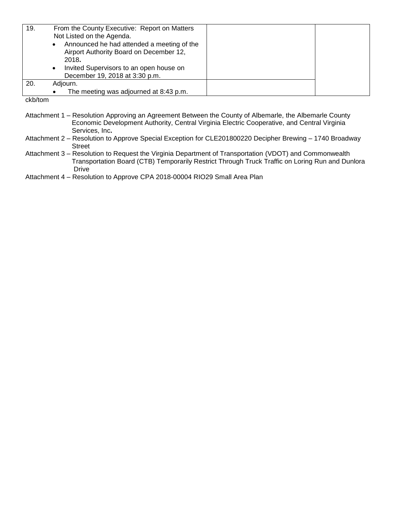| 19.           | From the County Executive: Report on Matters<br>Not Listed on the Agenda.<br>Announced he had attended a meeting of the<br>Airport Authority Board on December 12,<br>2018.<br>Invited Supervisors to an open house on<br>$\bullet$<br>December 19, 2018 at 3:30 p.m. |  |
|---------------|-----------------------------------------------------------------------------------------------------------------------------------------------------------------------------------------------------------------------------------------------------------------------|--|
| 20.           | Adjourn.                                                                                                                                                                                                                                                              |  |
|               | The meeting was adjourned at 8:43 p.m.                                                                                                                                                                                                                                |  |
| ممرمة الماءام |                                                                                                                                                                                                                                                                       |  |

ckb/tom

- Attachment 1 Resolution Approving an Agreement Between the County of Albemarle, the Albemarle County Economic Development Authority, Central Virginia Electric Cooperative, and Central Virginia Services, Inc**.**
- Attachment 2 Resolution to Approve Special Exception for CLE201800220 Decipher Brewing 1740 Broadway Street
- Attachment 3 Resolution to Request the Virginia Department of Transportation (VDOT) and Commonwealth Transportation Board (CTB) Temporarily Restrict Through Truck Traffic on Loring Run and Dunlora Drive

Attachment 4 – Resolution to Approve CPA 2018-00004 RIO29 Small Area Plan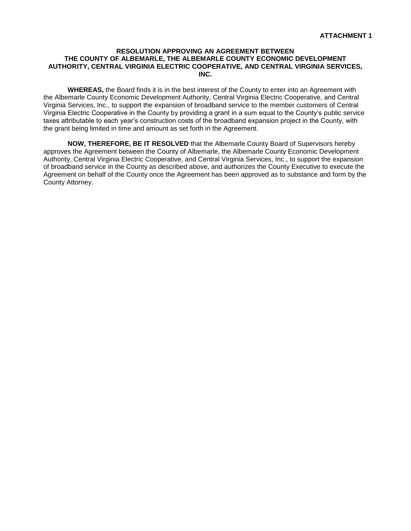# **RESOLUTION APPROVING AN AGREEMENT BETWEEN THE COUNTY OF ALBEMARLE, THE ALBEMARLE COUNTY ECONOMIC DEVELOPMENT AUTHORITY, CENTRAL VIRGINIA ELECTRIC COOPERATIVE, AND CENTRAL VIRGINIA SERVICES, INC.**

**WHEREAS,** the Board finds it is in the best interest of the County to enter into an Agreement with the Albemarle County Economic Development Authority, Central Virginia Electric Cooperative, and Central Virginia Services, Inc., to support the expansion of broadband service to the member customers of Central Virginia Electric Cooperative in the County by providing a grant in a sum equal to the County's public service taxes attributable to each year's construction costs of the broadband expansion project in the County, with the grant being limited in time and amount as set forth in the Agreement.

**NOW, THEREFORE, BE IT RESOLVED** that the Albemarle County Board of Supervisors hereby approves the Agreement between the County of Albemarle, the Albemarle County Economic Development Authority, Central Virginia Electric Cooperative, and Central Virginia Services, Inc., to support the expansion of broadband service in the County as described above, and authorizes the County Executive to execute the Agreement on behalf of the County once the Agreement has been approved as to substance and form by the County Attorney.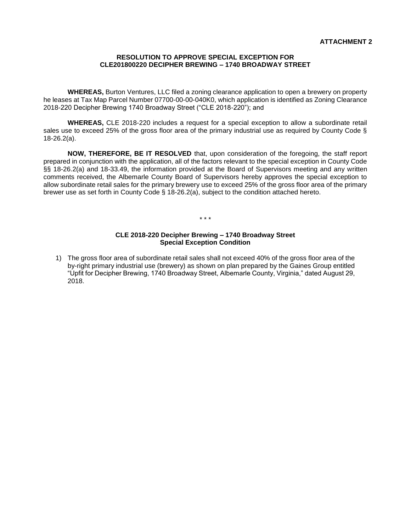# **RESOLUTION TO APPROVE SPECIAL EXCEPTION FOR CLE201800220 DECIPHER BREWING – 1740 BROADWAY STREET**

**WHEREAS,** Burton Ventures, LLC filed a zoning clearance application to open a brewery on property he leases at Tax Map Parcel Number 07700-00-00-040K0, which application is identified as Zoning Clearance 2018-220 Decipher Brewing 1740 Broadway Street ("CLE 2018-220"); and

**WHEREAS,** CLE 2018-220 includes a request for a special exception to allow a subordinate retail sales use to exceed 25% of the gross floor area of the primary industrial use as required by County Code § 18-26.2(a).

**NOW, THEREFORE, BE IT RESOLVED** that, upon consideration of the foregoing, the staff report prepared in conjunction with the application, all of the factors relevant to the special exception in County Code §§ 18-26.2(a) and 18-33.49, the information provided at the Board of Supervisors meeting and any written comments received, the Albemarle County Board of Supervisors hereby approves the special exception to allow subordinate retail sales for the primary brewery use to exceed 25% of the gross floor area of the primary brewer use as set forth in County Code § 18-26.2(a), subject to the condition attached hereto.

#### \* \* \*

### **CLE 2018-220 Decipher Brewing – 1740 Broadway Street Special Exception Condition**

1) The gross floor area of subordinate retail sales shall not exceed 40% of the gross floor area of the by-right primary industrial use (brewery) as shown on plan prepared by the Gaines Group entitled "Upfit for Decipher Brewing, 1740 Broadway Street, Albemarle County, Virginia," dated August 29, 2018.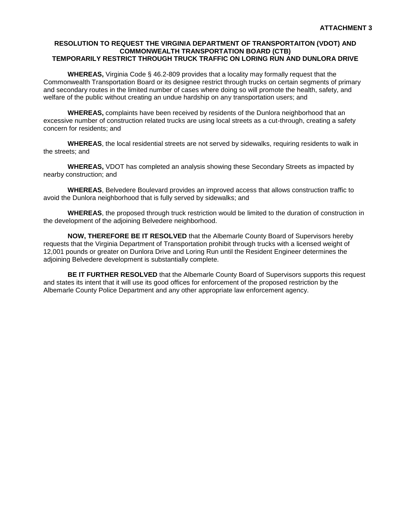# **RESOLUTION TO REQUEST THE VIRGINIA DEPARTMENT OF TRANSPORTAITON (VDOT) AND COMMONWEALTH TRANSPORTATION BOARD (CTB) TEMPORARILY RESTRICT THROUGH TRUCK TRAFFIC ON LORING RUN AND DUNLORA DRIVE**

**WHEREAS,** Virginia Code § 46.2-809 provides that a locality may formally request that the Commonwealth Transportation Board or its designee restrict through trucks on certain segments of primary and secondary routes in the limited number of cases where doing so will promote the health, safety, and welfare of the public without creating an undue hardship on any transportation users; and

**WHEREAS,** complaints have been received by residents of the Dunlora neighborhood that an excessive number of construction related trucks are using local streets as a cut-through, creating a safety concern for residents; and

**WHEREAS**, the local residential streets are not served by sidewalks, requiring residents to walk in the streets; and

**WHEREAS,** VDOT has completed an analysis showing these Secondary Streets as impacted by nearby construction; and

**WHEREAS**, Belvedere Boulevard provides an improved access that allows construction traffic to avoid the Dunlora neighborhood that is fully served by sidewalks; and

**WHEREAS**, the proposed through truck restriction would be limited to the duration of construction in the development of the adjoining Belvedere neighborhood.

**NOW, THEREFORE BE IT RESOLVED** that the Albemarle County Board of Supervisors hereby requests that the Virginia Department of Transportation prohibit through trucks with a licensed weight of 12,001 pounds or greater on Dunlora Drive and Loring Run until the Resident Engineer determines the adjoining Belvedere development is substantially complete.

**BE IT FURTHER RESOLVED** that the Albemarle County Board of Supervisors supports this request and states its intent that it will use its good offices for enforcement of the proposed restriction by the Albemarle County Police Department and any other appropriate law enforcement agency.